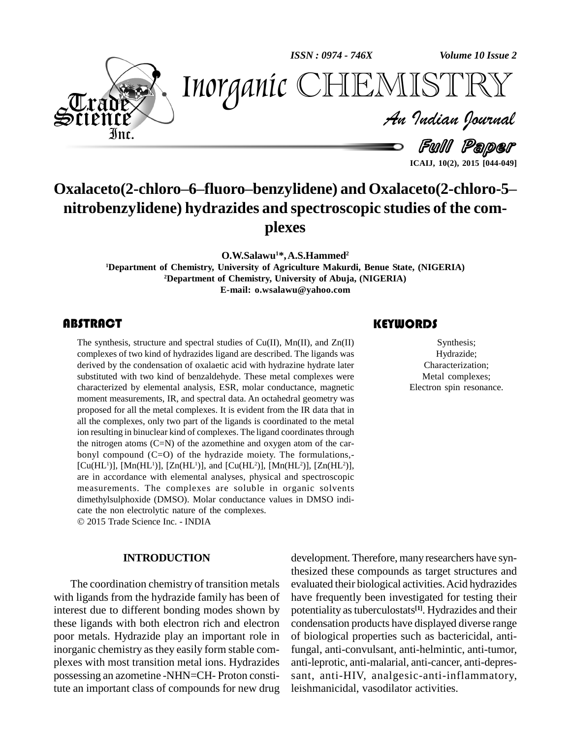*ISSN : 0974 - 746X*

*Volume 10 Issue 2*



*Volume 10 Issue 2*<br> $\begin{array}{c} \begin{array}{c} \widehat{I} \subseteq \bigcap_{i=1}^n \bigcap_{i=1}^n \mathbb{R}^{I} \subseteq \mathbb{R}^n \end{array} \end{array}$ Inorganic CHEMISTRY

Full Paper **ICAIJ, 10(2), 2015 [044-049]**

# **Oxalaceto(2-chloroñ6ñfluoroñbenzylidene) and Oxalaceto(2-chloro-5<sup>ñ</sup> nitrobenzylidene) hydrazides and spectroscopic studies of the com plexes**

**O.W.Salawu <sup>1</sup>\*,A.S.Hammed 2**

**1Department** of Chemistry, University of Agriculture Makurdi, Benue State, (NIGERIA) **<sup>2</sup>Department of Chemistry, University of Abuja, (NIGERIA) E-mail: [o.wsalawu@yahoo.com](mailto:o.wsalawu@yahoo.com)**

# **ABSTRACT**

The synthesis, structure a<br>complexes of two kind of<br>derived by the condensat The synthesis, structure and spectral studies of Cu(II), Mn(II), and Zn(II) complexes of two kind of hydrazides ligand are described. The ligands was derived by the condensation of oxalaetic acid with hydrazine hydrate later substituted with two kind of benzaldehyde. These metal complexes were characterized by elemental analysis, ESR, molar conductance, magnetic moment measurements, IR, and spectral data. An octahedral geometry was proposed for all the metal complexes. It is evident from the IR data that in all the complexes, only two part of the ligands is coordinated to the metal ion resulting in binuclear kind of complexes. The ligand coordinates through the nitrogen atoms  $(C=N)$  of the azomethine and oxygen atom of the carbonyl compound (C=O) of the hydrazide moiety. The formulations,- [Cu(HL<sup>1</sup>)], [Mn(HL<sup>1</sup>)], [Zn(HL<sup>1</sup>)], and [Cu(HL<sup>2</sup>)], [Mn(HL<sup>2</sup>)], [Zn(HL<sup>2</sup>)], are in accordance with elemental analyses, physical and spectroscopic measurements. The complexes are soluble in organic solvents dimethylsulphoxide (DMSO). Molar conductance values in DMSO indicate the non electrolytic nature of the complexes.

2015 Trade Science Inc. - INDIA

## **INTRODUCTION**

The coordination chemistry of transition metals with ligands from the hydrazide family has been of interest due to different bonding modes shown by these ligands with both electron rich and electron poor metals. Hydrazide play an important role in inorganic chemistry as they easily form stable com plexes with most transition metal ions. Hydrazides possessing an azometine -NHN=CH- Proton constitute an important class of compounds for new drug

# **KEYWORDS**

Synthesis;<br>
Synthesis;<br>
Hydrazide;<br>
Characterizati Synthesis; Hydrazide; Characterization; Metal complexes; Electron spin resonance.

development. Therefore, many researchers have synthesized these compounds as target structures and evaluated their biological activities.Acid hydrazides have frequently been investigated for testing their potentiality as tuberculostats<sup>[1]</sup>. Hydrazides and their condensation products have displayed diverse range of biological properties such as bactericidal, antifungal, anti-convulsant, anti-helmintic, anti-tumor, anti-leprotic, anti-malarial, anti-cancer, anti-depres sant, anti-HIV, analgesic-anti-inflammatory, leishmanicidal, vasodilator activities.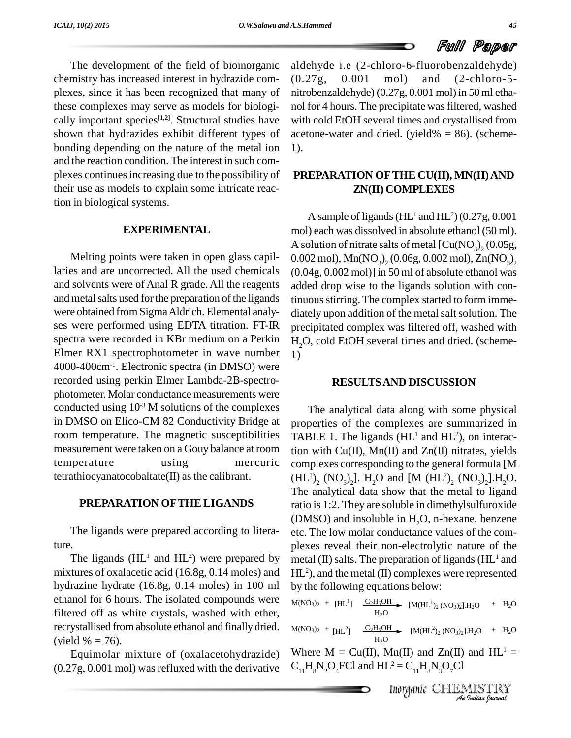

The development of the field of bioinorganic chemistry has increased interest in hydrazide com plexes, since it has been recognized that many of these complexes may serve as models for biologi cally important species<sup>[1,2]</sup>. Structural studies have with o shown that hydrazides exhibit different types of bonding depending on the nature of the metal ion and the reaction condition. The interest in such com plexes continuesincreasing due to the possibility of their use as models to explain some intricate reaction in biological systems.

# **EXPERIMENTAL**

Melting points were taken in open glass capillaries and are uncorrected. All the used chemicals and solvents were of Anal R grade. All the reagents and metal salts used for the preparation of the ligands were obtained from SigmaAldrich. Elemental analy ses were performed using EDTA titration. FT-IR spectra were recorded in KBr medium on a Perkin Elmer RX1 spectrophotometer in wave number 4000-400cm-1 . Electronic spectra (in DMSO) were recorded using perkin Elmer Lambda-2B-spectro photometer. Molar conductance measurements were conducted using  $10^{-3}$  M solutions of the complexes  $\qquad \qquad$  7 in DMSO on Elico-CM 82 Conductivity Bridge at room temperature. The magnetic susceptibilities measurement were taken on a Gouy balance at room temperature using mercuric tetrathiocyanatocobaltate(II) as the calibrant.

# **PREPARATION OFTHE LIGANDS**

The ligands were prepared according to litera-

ture. plexes<br>The ligands (HL<sup>1</sup> and HL<sup>2</sup>) were prepared by metal ( mixtures of oxalacetic acid (16.8g, 0.14 moles) and hydrazine hydrate (16.8g, 0.14 moles) in 100 ml ethanol for 6 hours. The isolated compounds were filtered off as white crystals, washed with ether, recrystallised from absolute ethanol and finally dried.  $M(NO_3)_2 + H1^2$ (yield  $% = 76$ ).

Equimolar mixture of (oxalacetohydrazide) (0.27g, 0.001 mol) was refluxed with the derivative aldehyde i.e (2-chloro-6-fluorobenzaldehyde)  $(0.001 \quad \text{mol})$  and  $(2\text{-chloro-5})$ nitrobenzaldehyde) (0.27g, 0.001 mol) in 50 ml etha nol for 4 hours. The precipitate was filtered, washed with cold EtOH several times and crystallised from acetone-water and dried. (yield%  $= 86$ ). (scheme-1).

# **PREPARATION OFTHE CU(II), MN(II)AND ZN(II) COMPLEXES**

A sample of ligands ( $HL<sup>1</sup>$  and  $HL<sup>2</sup>$ ) (0.27g, 0.001 mol) each was dissolved in absolute ethanol (50 ml). A solution of nitrate salts of metal  $\left[\text{Cu}(\text{NO}_3)\right]_2(0.05\text{g}, 0.002\text{ mol}), \text{Mn}(\text{NO}_3)\right]_2(0.06\text{g}, 0.002\text{ mol}), \text{Zn}(\text{NO}_3)\right]_2$ 0.002 mol),  $Mn(NO_3)$ , (0.06g, 0.002 mol),  $Zn(NO_3)$ , 2 (0.04g, 0.002 mol)] in 50 ml of absolute ethanol was added drop wise to the ligands solution with continuous stirring. The complex started to form immediately upon addition of the metal salt solution. The precipitated complex was filtered off, washed with H<sub>2</sub>O, cold EtOH several times and dried. (scheme-1)

# **RESULTSAND DISCUSSION**

The analytical data along with some physical properties of the complexes are summarized in TABLE 1. The ligands  $(HL<sup>1</sup>$  and  $HL<sup>2</sup>$ ), on interaction with Cu(II), Mn(II) and Zn(II) nitrates, yields complexes corresponding to the general formula [M  $(HL^{1})_{2}$  (NO<sub>3</sub>)<sub>2</sub>]. H<sub>2</sub>O and [M (HL<sup>2</sup>)<sub>2</sub> (NO<sub>3</sub>)<sub>2</sub>].H<sub>2</sub>C The analytical data show that the metal to ligand ratio is1:2. They are soluble in dimethylsulfuroxide (DMSO) and insoluble in  $H<sub>2</sub>O$ , n-hexane, benzene etc. The low molar conductance values of the com plexes reveal their non-electrolytic nature of the metal (II) salts. The preparation of ligands ( $HL<sup>1</sup>$  and HL <sup>2</sup>), and the metal (II) complexes were represented by the following equations below:

$$
M(NO3)2 + [HL1] \xrightarrow{C2H5OH} [M(HL1)2 (NO3)2].H2O + H2O
$$

 $M(NO<sub>3</sub>)<sub>2</sub> + [HL<sup>2</sup>]$   $C<sub>2</sub>H<sub>5</sub>OH$   $M(HL<sup>2</sup>)<sub>2</sub> (NO<sub>3</sub>)<sub>2</sub>].H<sub>2</sub>O + H<sub>2</sub>O$  $H_2O$ 

*I*<br>
In(II) and Zn(II) and HL<sup>1</sup> =<br>  $L^2 = C_{11}H_8N_3O_7Cl$ <br>
Inorganic CHEMISTRY Where  $M = Cu(II)$ , Mn(II) and Zn(II) and HL<sup>1</sup> =  $C_{11}H_8N_2O_4FCl$  and  $HL^2 = C_{11}H_8N_3O_7Cl$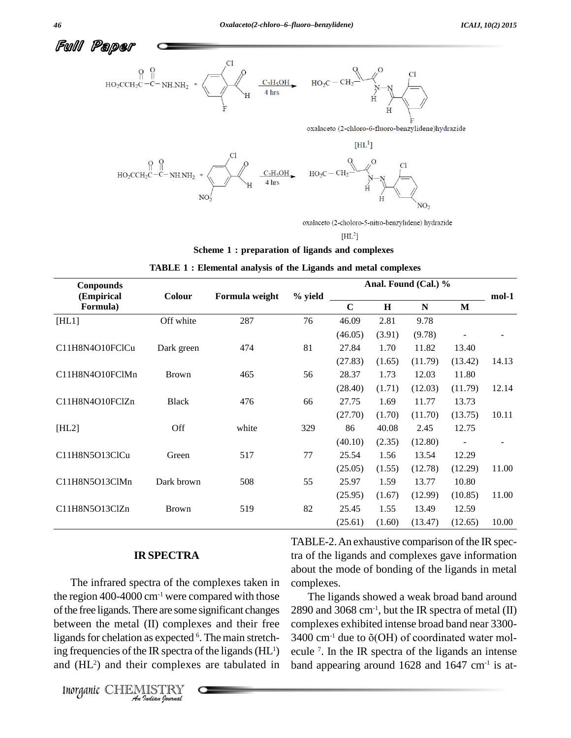

oxalaceto (2-choloro-5-nitro-benzylidene) hydrazide

 $[HL^2]$ 

#### **Scheme 1 : preparation of ligands and complexes**

| Conpounds       |              | Formula weight | % yield | Anal. Found (Cal.) % |             |             |                          |       |
|-----------------|--------------|----------------|---------|----------------------|-------------|-------------|--------------------------|-------|
| (Empirical      | Colour       |                |         |                      |             |             |                          | mol-1 |
| Formula)        |              |                |         | $\mathbf C$          | $\mathbf H$ | $\mathbf N$ | M                        |       |
| [HL1]           | Off white    | 287            | 76      | 46.09                | 2.81        | 9.78        |                          |       |
|                 |              |                |         | (46.05)              | (3.91)      | (9.78)      |                          |       |
| C11H8N4O10FClCu | Dark green   | 474            | 81      | 27.84                | 1.70        | 11.82       | 13.40                    |       |
|                 |              |                |         | (27.83)              | (1.65)      | (11.79)     | (13.42)                  | 14.13 |
| C11H8N4O10FClMn | <b>Brown</b> | 465            | 56      | 28.37                | 1.73        | 12.03       | 11.80                    |       |
|                 |              |                |         | (28.40)              | (1.71)      | (12.03)     | (11.79)                  | 12.14 |
| C11H8N4O10FClZn | <b>Black</b> | 476            | 66      | 27.75                | 1.69        | 11.77       | 13.73                    |       |
|                 |              |                |         | (27.70)              | (1.70)      | (11.70)     | (13.75)                  | 10.11 |
| [HL2]           | Off          | white          | 329     | 86                   | 40.08       | 2.45        | 12.75                    |       |
|                 |              |                |         | (40.10)              | (2.35)      | (12.80)     | $\overline{\phantom{a}}$ |       |
| C11H8N5O13ClCu  | Green        | 517            | 77      | 25.54                | 1.56        | 13.54       | 12.29                    |       |
|                 |              |                |         | (25.05)              | (1.55)      | (12.78)     | (12.29)                  | 11.00 |
| C11H8N5O13ClMn  | Dark brown   | 508            | 55      | 25.97                | 1.59        | 13.77       | 10.80                    |       |
|                 |              |                |         | (25.95)              | (1.67)      | (12.99)     | (10.85)                  | 11.00 |
| C11H8N5O13ClZn  | <b>Brown</b> | 519            | 82      | 25.45                | 1.55        | 13.49       | 12.59                    |       |
|                 |              |                |         | (25.61)              | (1.60)      | (13.47)     | (12.65)                  | 10.00 |

|  | TABLE 1: Elemental analysis of the Ligands and metal complexes |  |  |  |  |  |  |
|--|----------------------------------------------------------------|--|--|--|--|--|--|
|--|----------------------------------------------------------------|--|--|--|--|--|--|

# **IR SPECTRA**

between the metal (II) complexes and their free comp *Indian India Incomplexes* and their gands for chelation as expected <sup>6</sup>. The main st g frequencies of the IR spectra of the ligands and (HL<sup>2</sup>) and their complexes are tabulat *Inorganic* CHEMISTRY The infrared spectra of the complexes taken in the region 400-4000 cm-1 were compared with those of the free ligands. There are some significant changes ligands for chelation as expected <sup>6</sup>. The main stretching frequencies of the IR spectra of the ligands  $(HL<sup>1</sup>)$ and (HL <sup>2</sup>) and their complexes are tabulated in

TABLE-2. An exhaustive comparison of the IR spectra of the ligands and complexes gave information about the mode of bonding of the ligands in metal complexes.

<sup>1</sup>) ecule <sup>7</sup>. In the IR spectra of the ligands an intense The ligands showed a weak broad band around  $2890$  and  $3068$  cm<sup>-1</sup>, but the IR spectra of metal (II) complexes exhibited intense broad band near 3300- 2890 and 3068 cm<sup>-1</sup>, but the IR spectra of metal (II)<br>complexes exhibited intense broad band near 3300-<br>3400 cm<sup>-1</sup> due to  $\tilde{o}(\rm OH)$  of coordinated water molband appearing around  $1628$  and  $1647$  cm<sup>-1</sup> is at-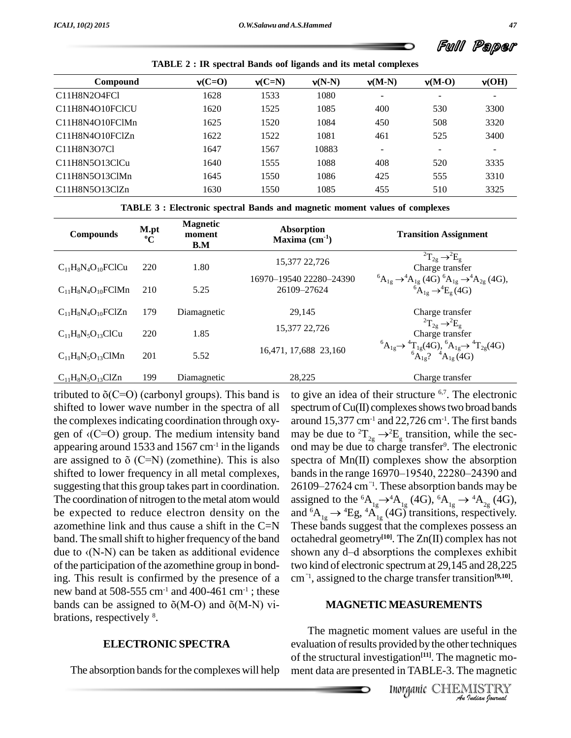Ful Paper

|                                                                                             | <b>TABLE 2 : IR spectral Bands oof ligands and its metal complexes</b> |          |          |                          |                          |                          |
|---------------------------------------------------------------------------------------------|------------------------------------------------------------------------|----------|----------|--------------------------|--------------------------|--------------------------|
| Compound                                                                                    | $v(C=0)$                                                               | $v(C=N)$ | $v(N-N)$ | $v(M-N)$                 | $v(M-O)$                 | v(OH)                    |
| C11H8N2O4FCl                                                                                | 1628                                                                   | 1533     | 1080     | -                        | $\overline{\phantom{0}}$ | $\overline{\phantom{a}}$ |
| C11H8N4O10FCICU                                                                             | 1620                                                                   | 1525     | 1085     | 400                      | 530                      | 3300                     |
| C11H8N4O10FClMn                                                                             | 1625                                                                   | 1520     | 1084     | 450                      | 508                      | 3320                     |
| C11H8N4O10FClZn                                                                             | 1622                                                                   | 1522     | 1081     | 461                      | 525                      | 3400                     |
| C <sub>11</sub> H <sub>8</sub> N <sub>3</sub> O <sub>7</sub> C <sub>1</sub>                 | 1647                                                                   | 1567     | 10883    | $\overline{\phantom{a}}$ | $\overline{\phantom{a}}$ | ۰                        |
| C <sub>11</sub> H <sub>8</sub> N <sub>5</sub> O <sub>13</sub> C <sub>1</sub> C <sub>u</sub> | 1640                                                                   | 1555     | 1088     | 408                      | 520                      | 3335                     |
| C <sub>11</sub> H <sub>8</sub> N <sub>5</sub> O <sub>13</sub> ClM <sub>n</sub>              | 1645                                                                   | 1550     | 1086     | 425                      | 555                      | 3310                     |
| C11H8N5O13ClZn                                                                              | 1630                                                                   | 1550     | 1085     | 455                      | 510                      | 3325                     |

| TABLE 3 : Electronic spectral Bands and magnetic moment values of complexes |  |  |  |
|-----------------------------------------------------------------------------|--|--|--|
|-----------------------------------------------------------------------------|--|--|--|

| <b>Compounds</b>          | M.pt<br>$\rm ^{o}C$ | <b>Magnetic</b><br>moment<br>B.M | Absorption<br>Maxima $(cm-1)$          | <b>Transition Assignment</b>                                                                                                                          |
|---------------------------|---------------------|----------------------------------|----------------------------------------|-------------------------------------------------------------------------------------------------------------------------------------------------------|
| $C_{11}H_8N_4O_{10}FClCu$ | 220                 | 1.80                             | 15,377 22,726                          | ${}^{2}T_{2g} \rightarrow {}^{2}E_{g}$<br>Charge transfer                                                                                             |
| $C_{11}H_8N_4O_{10}FCIMn$ | 210                 | 5.25                             | 16970-19540 22280-24390<br>26109-27624 | ${}^{6}A_{1g} \rightarrow {}^{4}A_{1g} (4G) {}^{6}A_{1g} \rightarrow {}^{4}A_{2g} (4G),$<br>${}^{6}A_{1g} \rightarrow {}^{4}E_{g} (4G)$               |
| $C_{11}H_8N_4O_{10}FCIZn$ | 179                 | Diamagnetic                      | 29,145                                 | Charge transfer                                                                                                                                       |
|                           |                     |                                  | 15,377 22,726                          | ${}^{2}T_{2g} \rightarrow {}^{2}E_{g}$                                                                                                                |
| $C_{11}H_8N_5O_{13}ClCu$  | 220                 | 1.85                             | 16,471, 17,688 23,160                  | Charge transfer<br>${}^{6}A_{1g} \rightarrow {}^{4}T_{1g}$ (4G), ${}^{6}A_{1g} \rightarrow {}^{4}T_{2g}$ (4G)<br>${}^{6}A_{1g}$ ? ${}^{4}A_{1g}$ (4G) |
| $C_{11}H_8N_5O_{13}ClMn$  | 201                 | 5.52                             |                                        |                                                                                                                                                       |
| $C_{11}H_8N_5O_{13}ClZn$  | 199                 | Diamagnetic                      | 28,225                                 | Charge transfer                                                                                                                                       |

tributed to  $\delta(C=O)$  (carbonyl groups). This band is shifted to lower wave number in the spectra of all the complexesindicating coordination through oxy gen of  $\langle C=O \rangle$  group. The medium intensity band appearing around 1533 and 1567 cm $^{-1}$  in the ligands ond are assigned to  $\delta$  (C=N) (zomethine). This is also shifted to lower frequency in all metal complexes, suggesting that this group takes part in coordination. The coordination of nitrogen to the metal atom would be expected to reduce electron density on the azomethine link and thus cause a shift in the  $C=N$  These bands suggest that the complexes possess an band. The small shift to higher frequency of the band octahe azomethine link and thus cause a shift in the C=N These<br>band. The small shift to higher frequency of the band octah-<br>due to  $\langle (N-N) \rangle$  can be taken as additional evidence shows of the participation of the azomethine group in bonding. This result is confirmed by the presence of a cm<sup>-1</sup>,<br>new band at 508-555 cm<sup>-1</sup> and 400-461 cm<sup>-1</sup>; these<br>bands can be assigned to  $\tilde{o}(M-Q)$  and  $\tilde{o}(M-N)$  vinew band at 508-555  $cm^{-1}$  and 400-461  $cm^{-1}$  ; these brations, respectively 8 .

### **ELECTRONIC SPECTRA**

The absorption bands for the complexes will help

to give an idea of their structure 6,7 . The electronic  $s$ pectrum of Cu(II) complexes shows two broad bands around  $15{,}377 \text{ cm}^{\text{-1}}$  and  $22{,}726 \text{ cm}^{\text{-1}}$ . The first bands may be due to  ${}^{2}T_{2g} \rightarrow {}^{2}E_{g}$  transition, while the second may be due to charge transfer<sup>9</sup>. The electronic<br>spectra of Mn(II) complexes show the absorption<br>bands in the range 16970–19540, 22280–24390 and spectra of Mn(II) complexes show the absorption<br>bands in the range 16970–19540, 22280–24390 and<br>26109–27624 cm<sup>*''*1</sup>. These absorption bands may be 7624 cm<sup>21</sup>. These absorption bands may be assigned to the <sup>6</sup> $A_{1g} \rightarrow {}^4A_{1g}$  (4G),  ${}^6A_{1g} \rightarrow {}^4A_{2g}$  (4G), and <sup>6</sup> $A_{1g} \rightarrow {}^4Eg$ ,  ${}^4A_{1g}$  (4G) transitions, respectively.<br>These bands suggest that the complexes possess an 6970-19540, 22280octahedral geometry **[10]**. The Zn(II) complex has not These bands suggest that the complexes possess an<br>octahedral geometry<sup>[10]</sup>. The  $Zn(II)$  complex has not<br>shown any d-d absorptions the complexes exhibit two kind of electronic spectrum at 29,145 and 28,225 two kind of electronic spectrum at 29,145 and 28,225 cm<sup><sup>71</sup>, assigned to the charge transfer transition<sup>[9,10]</sup>.</sup>

#### **MAGNETICMEASUREMENTS**

ment values are useful in the<br>ovided by the other techniques<br>igation<sup>[11]</sup>. The magnetic mo-<br>d in TABLE-3. The magnetic<br>Inorganic CHEMISTRY The magnetic moment values are useful in the evaluation of results provided by the other techniques of the structural investigation **[11]**. The magnetic mo ment data are presented in TABLE-3. The magnetic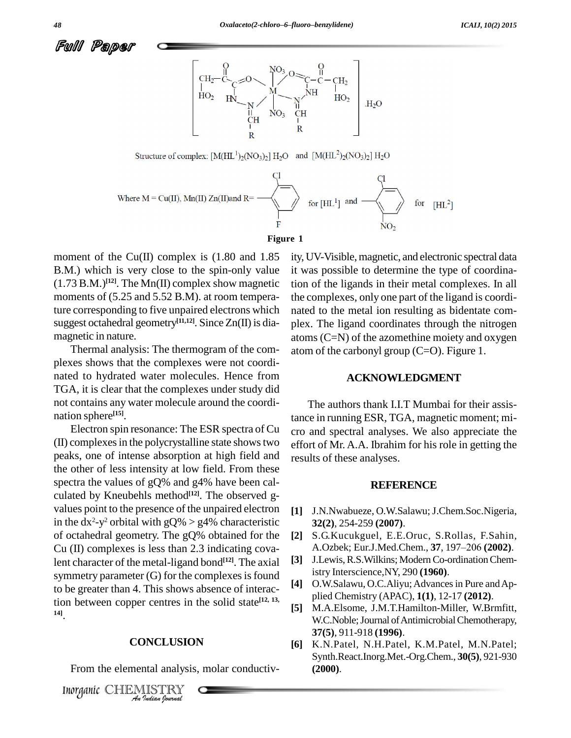



Structure of complex:  $[M(HL<sup>1</sup>)<sub>2</sub>(NO<sub>3</sub>)<sub>2</sub>] H<sub>2</sub>O$  and  $[M(HL<sup>2</sup>)<sub>2</sub>(NO<sub>3</sub>)<sub>2</sub>] H<sub>2</sub>O$ 



#### **Figure 1**

moment of the Cu(II) complex is  $(1.80 \text{ and } 1.85)$ B.M.) which is very close to the spin-only value (1.73 B.M.) **[12]**. The Mn(II) complex show magnetic moments of  $(5.25 \text{ and } 5.52 \text{ B.M})$ . at room temperature corresponding to five unpaired electrons which suggest octahedral geometry<sup>[11,12]</sup>. Since Zn(II) is dia-<br>plex magnetic in nature.

Thermal analysis: The thermogram of the com plexes shows that the complexes were not coordi nated to hydrated water molecules. Hence from TGA, it is clear that the complexes under study did not contains any water molecule around the coordi nation sphere **[15]**.

Electron spin resonance: The ESR spectra of Cu (II) complexesin the polycrystalline state showstwo peaks, one of intense absorption at high field and the other of less intensity at low field. From these spectra the values of gQ% and g4% have been cal culated by Kneubehls method **[12]**. The observed g values point to the presence of the unpaired electron in the  $dx^2-y^2$  orbital with  $gQ\% > g4\%$  characteristic 3 of octahedral geometry. The gQ% obtained for the Cu (II) complexes is less than 2.3 indicating covalent character of the metal-ligand bond **[12]**. The axial symmetry parameter  $(G)$  for the complexes is found to be greater than 4. This shows absence of interaction between copper centres in the solid state<sup>[12, 13,</sup> **14]**.

#### **CONCLUSION**

*Inorganic* CHEMISTRY<br> *Inorganic* CHEMISTRY From the elemental analysis, molar conductivity, UV-Visible, magnetic, and electronic spectral data it was possible to determine the type of coordination of the ligands in their metal complexes. In all the complexes, only one part of the ligand is coordi nated to the metal ion resulting as bidentate com plex. The ligand coordinates through the nitrogen atoms (C=N) of the azomethine moiety and oxygen atom of the carbonyl group  $(C=O)$ . Figure 1.

#### **ACKNOWLEDGMENT**

The authors thank I.I.T Mumbai for their assistance in running ESR, TGA, magnetic moment; mi cro and spectral analyses. We also appreciate the effort of Mr. A.A. Ibrahim for his role in getting the results of these analyses.

#### **REFERENCE**

- **[1]** J.N.Nwabueze, O.W.Salawu;J.Chem.Soc.Nigeria, **32(2)**, 254-259 **(2007)**.
- **[2]** S.G.Kucukguel, E.E.Oruc, S.Rollas, F.Sahin, **32(2)**, 254-259 **(2007).**<br>S.G.Kucukguel, E.E.Oruc, S.Rollas, F.Sahin,<br>A.Ozbek; Eur.J.Med.Chem., **37**, 197–206 **(2002)**.
- **[3]** J.Lewis,R.S.Wilkins; ModernCo-ordinationChemistry Interscience,NY, 290 **(1960)**.
- **[4]** O.W.Salawu, O.C.Aliyu;Advancesin Pure andAp plied Chemistry (APAC), **1(1)**, 12-17 **(2012)**.
- **[5]** M.A.Elsome, J.M.T.Hamilton-Miller, W.Brmfitt, W.C.Noble; Journal of Antimicrobial Chemotherapy, **37(5)**, 911-918 **(1996)**.
- **[6]** K.N.Patel, N.H.Patel, K.M.Patel, M.N.Patel; Synth.React.Inorg.Met.-Org.Chem., **30(5)**, 921-930 **(2000)**.